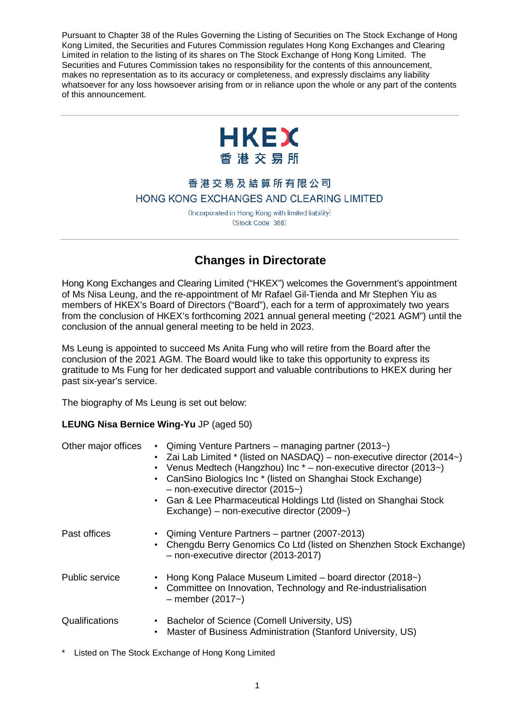Pursuant to Chapter 38 of the Rules Governing the Listing of Securities on The Stock Exchange of Hong Kong Limited, the Securities and Futures Commission regulates Hong Kong Exchanges and Clearing Limited in relation to the listing of its shares on The Stock Exchange of Hong Kong Limited. The Securities and Futures Commission takes no responsibility for the contents of this announcement, makes no representation as to its accuracy or completeness, and expressly disclaims any liability whatsoever for any loss howsoever arising from or in reliance upon the whole or any part of the contents of this announcement.



## 香港交易及結算所有限公司 HONG KONG EXCHANGES AND CLEARING LIMITED

(Incorporated in Hong Kong with limited liability) (Stock Code: 388)

## **Changes in Directorate**

Hong Kong Exchanges and Clearing Limited ("HKEX") welcomes the Government's appointment of Ms Nisa Leung, and the re-appointment of Mr Rafael Gil-Tienda and Mr Stephen Yiu as members of HKEX's Board of Directors ("Board"), each for a term of approximately two years from the conclusion of HKEX's forthcoming 2021 annual general meeting ("2021 AGM") until the conclusion of the annual general meeting to be held in 2023.

Ms Leung is appointed to succeed Ms Anita Fung who will retire from the Board after the conclusion of the 2021 AGM. The Board would like to take this opportunity to express its gratitude to Ms Fung for her dedicated support and valuable contributions to HKEX during her past six-year's service.

The biography of Ms Leung is set out below:

## **LEUNG Nisa Bernice Wing-Yu** JP (aged 50)

| Other major offices   | • Qiming Venture Partners – managing partner (2013 $\sim$ )<br>• Zai Lab Limited $*$ (listed on NASDAQ) – non-executive director (2014 $\sim$ )<br>• Venus Medtech (Hangzhou) Inc $*$ – non-executive director (2013~)<br>CanSino Biologics Inc * (listed on Shanghai Stock Exchange)<br>$-$ non-executive director (2015 $\sim$ )<br>• Gan & Lee Pharmaceutical Holdings Ltd (listed on Shanghai Stock<br>Exchange) - non-executive director (2009~) |
|-----------------------|-------------------------------------------------------------------------------------------------------------------------------------------------------------------------------------------------------------------------------------------------------------------------------------------------------------------------------------------------------------------------------------------------------------------------------------------------------|
| Past offices          | • Qiming Venture Partners – partner (2007-2013)<br>• Chengdu Berry Genomics Co Ltd (listed on Shenzhen Stock Exchange)<br>- non-executive director (2013-2017)                                                                                                                                                                                                                                                                                        |
| <b>Public service</b> | • Hong Kong Palace Museum Limited – board director (2018~)<br>• Committee on Innovation, Technology and Re-industrialisation<br>$-$ member (2017 $\sim$ )                                                                                                                                                                                                                                                                                             |
| Qualifications        | Bachelor of Science (Cornell University, US)<br>Master of Business Administration (Stanford University, US)<br>$\bullet$                                                                                                                                                                                                                                                                                                                              |

Listed on The Stock Exchange of Hong Kong Limited